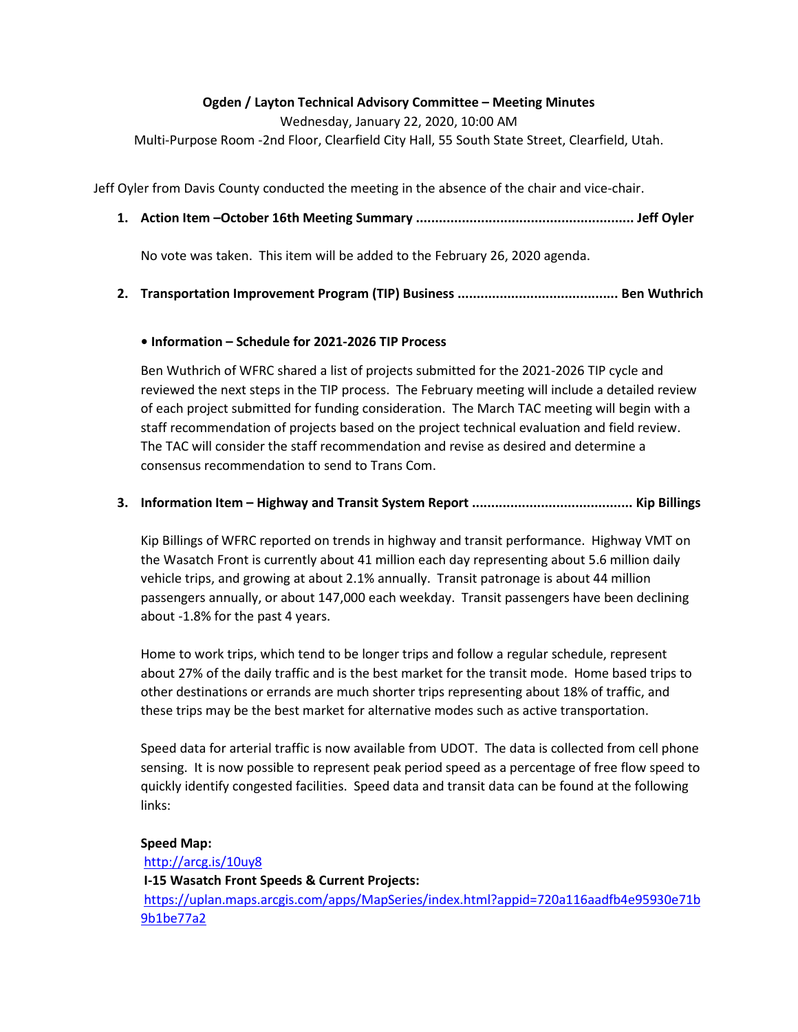#### Ogden / Layton Technical Advisory Committee – Meeting Minutes

Wednesday, January 22, 2020, 10:00 AM

Multi-Purpose Room -2nd Floor, Clearfield City Hall, 55 South State Street, Clearfield, Utah.

Jeff Oyler from Davis County conducted the meeting in the absence of the chair and vice-chair.

1. Action Item –October 16th Meeting Summary ......................................................... Jeff Oyler

No vote was taken. This item will be added to the February 26, 2020 agenda.

## 2. Transportation Improvement Program (TIP) Business .......................................... Ben Wuthrich

### • Information – Schedule for 2021-2026 TIP Process

Ben Wuthrich of WFRC shared a list of projects submitted for the 2021-2026 TIP cycle and reviewed the next steps in the TIP process. The February meeting will include a detailed review of each project submitted for funding consideration. The March TAC meeting will begin with a staff recommendation of projects based on the project technical evaluation and field review. The TAC will consider the staff recommendation and revise as desired and determine a consensus recommendation to send to Trans Com.

### 3. Information Item – Highway and Transit System Report .......................................... Kip Billings

Kip Billings of WFRC reported on trends in highway and transit performance. Highway VMT on the Wasatch Front is currently about 41 million each day representing about 5.6 million daily vehicle trips, and growing at about 2.1% annually. Transit patronage is about 44 million passengers annually, or about 147,000 each weekday. Transit passengers have been declining about -1.8% for the past 4 years.

Home to work trips, which tend to be longer trips and follow a regular schedule, represent about 27% of the daily traffic and is the best market for the transit mode. Home based trips to other destinations or errands are much shorter trips representing about 18% of traffic, and these trips may be the best market for alternative modes such as active transportation.

Speed data for arterial traffic is now available from UDOT. The data is collected from cell phone sensing. It is now possible to represent peak period speed as a percentage of free flow speed to quickly identify congested facilities. Speed data and transit data can be found at the following links:

#### Speed Map:

http://arcg.is/10uy8 I-15 Wasatch Front Speeds & Current Projects: https://uplan.maps.arcgis.com/apps/MapSeries/index.html?appid=720a116aadfb4e95930e71b 9b1be77a2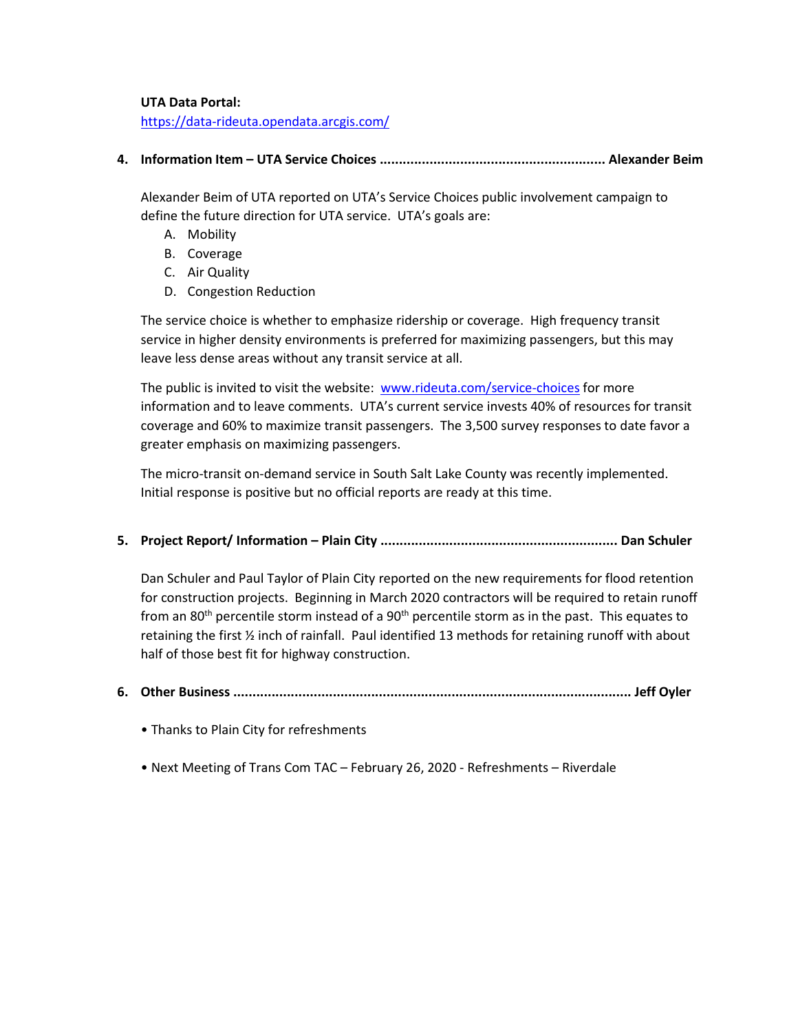#### UTA Data Portal:

https://data-rideuta.opendata.arcgis.com/

4. Information Item – UTA Service Choices ........................................................... Alexander Beim

Alexander Beim of UTA reported on UTA's Service Choices public involvement campaign to define the future direction for UTA service. UTA's goals are:

- A. Mobility
- B. Coverage
- C. Air Quality
- D. Congestion Reduction

The service choice is whether to emphasize ridership or coverage. High frequency transit service in higher density environments is preferred for maximizing passengers, but this may leave less dense areas without any transit service at all.

The public is invited to visit the website: www.rideuta.com/service-choices for more information and to leave comments. UTA's current service invests 40% of resources for transit coverage and 60% to maximize transit passengers. The 3,500 survey responses to date favor a greater emphasis on maximizing passengers.

The micro-transit on-demand service in South Salt Lake County was recently implemented. Initial response is positive but no official reports are ready at this time.

5. Project Report/ Information – Plain City .............................................................. Dan Schuler

Dan Schuler and Paul Taylor of Plain City reported on the new requirements for flood retention for construction projects. Beginning in March 2020 contractors will be required to retain runoff from an 80<sup>th</sup> percentile storm instead of a 90<sup>th</sup> percentile storm as in the past. This equates to retaining the first ½ inch of rainfall. Paul identified 13 methods for retaining runoff with about half of those best fit for highway construction.

- 6. Other Business ........................................................................................................ Jeff Oyler
	- Thanks to Plain City for refreshments
	- Next Meeting of Trans Com TAC February 26, 2020 Refreshments Riverdale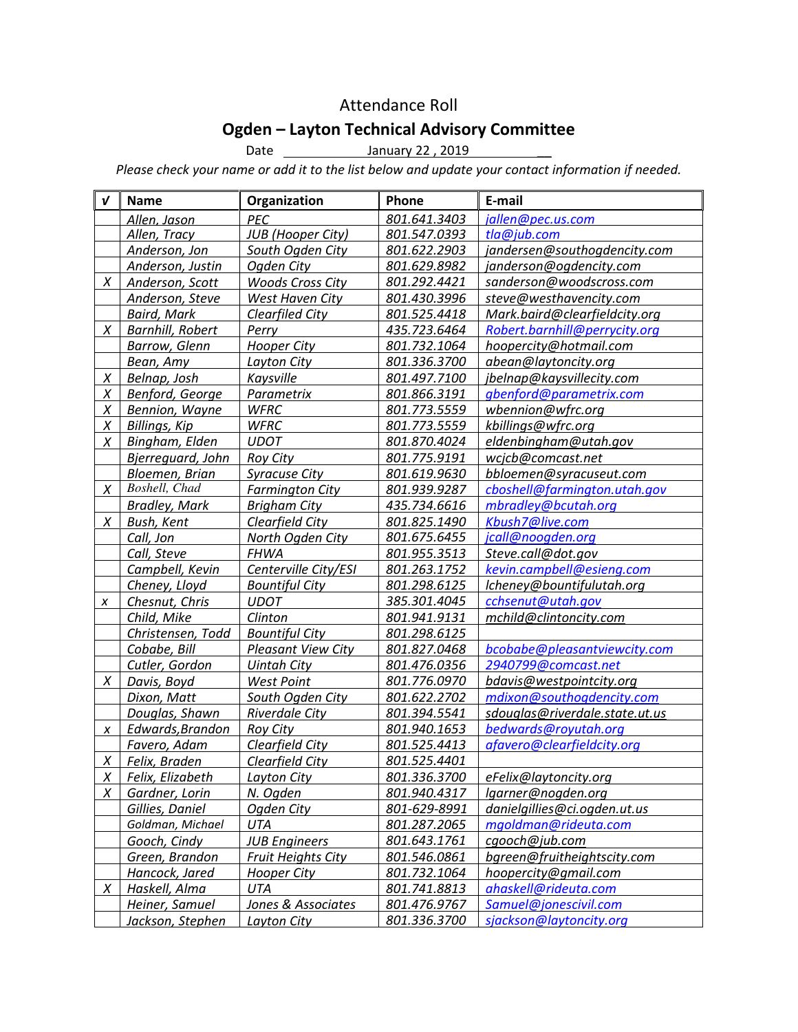# Attendance Roll

# Ogden – Layton Technical Advisory Committee

Date **January 22, 2019** 

Please check your name or add it to the list below and update your contact information if needed.

| $\boldsymbol{v}$ | <b>Name</b>             | Organization              | Phone        | E-mail                         |
|------------------|-------------------------|---------------------------|--------------|--------------------------------|
|                  | Allen, Jason            | PEC                       | 801.641.3403 | jallen@pec.us.com              |
|                  | Allen, Tracy            | <b>JUB</b> (Hooper City)  | 801.547.0393 | tla@jub.com                    |
|                  | Anderson, Jon           | South Ogden City          | 801.622.2903 | jandersen@southogdencity.com   |
|                  | Anderson, Justin        | Ogden City                | 801.629.8982 | janderson@ogdencity.com        |
| $\chi$           | Anderson, Scott         | <b>Woods Cross City</b>   | 801.292.4421 | sanderson@woodscross.com       |
|                  | Anderson, Steve         | West Haven City           | 801.430.3996 | steve@westhavencity.com        |
|                  | <b>Baird, Mark</b>      | Clearfiled City           | 801.525.4418 | Mark.baird@clearfieldcity.org  |
| X                | <b>Barnhill, Robert</b> | Perry                     | 435.723.6464 | Robert.barnhill@perrycity.org  |
|                  | Barrow, Glenn           | <b>Hooper City</b>        | 801.732.1064 | hoopercity@hotmail.com         |
|                  | Bean, Amy               | Layton City               | 801.336.3700 | abean@laytoncity.org           |
| $\chi$           | Belnap, Josh            | Kaysville                 | 801.497.7100 | jbelnap@kaysvillecity.com      |
| Χ                | Benford, George         | Parametrix                | 801.866.3191 | gbenford@parametrix.com        |
| Χ                | Bennion, Wayne          | <b>WFRC</b>               | 801.773.5559 | wbennion@wfrc.org              |
| Χ                | <b>Billings, Kip</b>    | WFRC                      | 801.773.5559 | kbillings@wfrc.org             |
| Χ                | Bingham, Elden          | <b>UDOT</b>               | 801.870.4024 | eldenbingham@utah.gov          |
|                  | Bjerreguard, John       | <b>Roy City</b>           | 801.775.9191 | wcjcb@comcast.net              |
|                  | Bloemen, Brian          | <b>Syracuse City</b>      | 801.619.9630 | bbloemen@syracuseut.com        |
| Χ                | Boshell, Chad           | <b>Farmington City</b>    | 801.939.9287 | cboshell@farmington.utah.gov   |
|                  | <b>Bradley, Mark</b>    | <b>Brigham City</b>       | 435.734.6616 | mbradley@bcutah.org            |
| X                | Bush, Kent              | Clearfield City           | 801.825.1490 | Kbush7@live.com                |
|                  | Call, Jon               | North Ogden City          | 801.675.6455 | jcall@noogden.org              |
|                  | Call, Steve             | <b>FHWA</b>               | 801.955.3513 | Steve.call@dot.gov             |
|                  | Campbell, Kevin         | Centerville City/ESI      | 801.263.1752 | kevin.campbell@esieng.com      |
|                  | Cheney, Lloyd           | <b>Bountiful City</b>     | 801.298.6125 | lcheney@bountifulutah.org      |
| X                | Chesnut, Chris          | <b>UDOT</b>               | 385.301.4045 | cchsenut@utah.gov              |
|                  | Child, Mike             | Clinton                   | 801.941.9131 | mchild@clintoncity.com         |
|                  | Christensen, Todd       | <b>Bountiful City</b>     | 801.298.6125 |                                |
|                  | Cobabe, Bill            | <b>Pleasant View City</b> | 801.827.0468 | bcobabe@pleasantviewcity.com   |
|                  | Cutler, Gordon          | <b>Uintah City</b>        | 801.476.0356 | 2940799@comcast.net            |
| $\chi$           | Davis, Boyd             | <b>West Point</b>         | 801.776.0970 | bdavis@westpointcity.org       |
|                  | Dixon, Matt             | South Ogden City          | 801.622.2702 | mdixon@southogdencity.com      |
|                  | Douglas, Shawn          | <b>Riverdale City</b>     | 801.394.5541 | sdouglas@riverdale.state.ut.us |
| X                | Edwards, Brandon        | <b>Roy City</b>           | 801.940.1653 | bedwards@royutah.org           |
|                  | Favero, Adam            | Clearfield City           | 801.525.4413 | afavero@clearfieldcity.org     |
| $\chi$           | Felix, Braden           | Clearfield City           | 801.525.4401 |                                |
|                  | X Felix, Elizabeth      | Layton City               | 801.336.3700 | eFelix@laytoncity.org          |
| X                | Gardner, Lorin          | N. Ogden                  | 801.940.4317 | lgarner@nogden.org             |
|                  | Gillies, Daniel         | Ogden City                | 801-629-8991 | danielgillies@ci.ogden.ut.us   |
|                  | Goldman, Michael        | UTA                       | 801.287.2065 | mgoldman@rideuta.com           |
|                  | Gooch, Cindy            | <b>JUB Engineers</b>      | 801.643.1761 | cgooch@jub.com                 |
|                  | Green, Brandon          | <b>Fruit Heights City</b> | 801.546.0861 | bgreen@fruitheightscity.com    |
|                  | Hancock, Jared          | Hooper City               | 801.732.1064 | hoopercity@gmail.com           |
| X                | Haskell, Alma           | UTA                       | 801.741.8813 | ahaskell@rideuta.com           |
|                  | Heiner, Samuel          | Jones & Associates        | 801.476.9767 | Samuel@jonescivil.com          |
|                  | Jackson, Stephen        | Layton City               | 801.336.3700 | sjackson@laytoncity.org        |